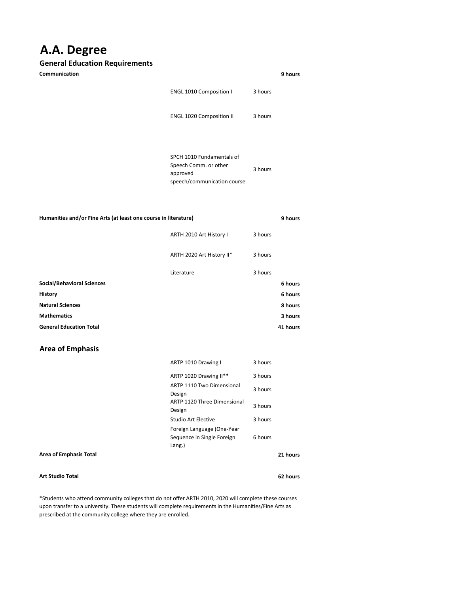## **A.A. Degree**

## **General Education Requirements**

| Communication                                                   |                                                                                               |         | 9 hours |
|-----------------------------------------------------------------|-----------------------------------------------------------------------------------------------|---------|---------|
|                                                                 | ENGL 1010 Composition I                                                                       | 3 hours |         |
|                                                                 | <b>ENGL 1020 Composition II</b>                                                               | 3 hours |         |
|                                                                 | SPCH 1010 Fundamentals of<br>Speech Comm. or other<br>approved<br>speech/communication course | 3 hours |         |
| Humanities and/or Fine Arts (at least one course in literature) |                                                                                               |         |         |
|                                                                 |                                                                                               |         | 9 hours |
|                                                                 | ARTH 2010 Art History I                                                                       | 3 hours |         |
|                                                                 | ARTH 2020 Art History II*                                                                     | 3 hours |         |
|                                                                 | Literature                                                                                    | 3 hours |         |
| <b>Social/Behavioral Sciences</b>                               |                                                                                               |         | 6 hours |
| History                                                         |                                                                                               |         | 6 hours |
| <b>Natural Sciences</b>                                         |                                                                                               |         | 8 hours |
| <b>Mathematics</b>                                              |                                                                                               |         | 3 hours |

## **Area of Emphasis**

|                        | ARTP 1010 Drawing I                                                | 3 hours |          |
|------------------------|--------------------------------------------------------------------|---------|----------|
|                        | ARTP 1020 Drawing II**                                             | 3 hours |          |
|                        | ARTP 1110 Two Dimensional<br>Design                                | 3 hours |          |
|                        | ARTP 1120 Three Dimensional<br>Design                              | 3 hours |          |
|                        | Studio Art Elective                                                | 3 hours |          |
|                        | Foreign Language (One-Year<br>Sequence in Single Foreign<br>Lang.) | 6 hours |          |
| Area of Emphasis Total |                                                                    |         | 21 hours |
|                        |                                                                    |         |          |

**Art Studio Total**

**62 hours**

\*Students who attend community colleges that do not offer ARTH 2010, 2020 will complete these courses upon transfer to a university. These students will complete requirements in the Humanities/Fine Arts as prescribed at the community college where they are enrolled.